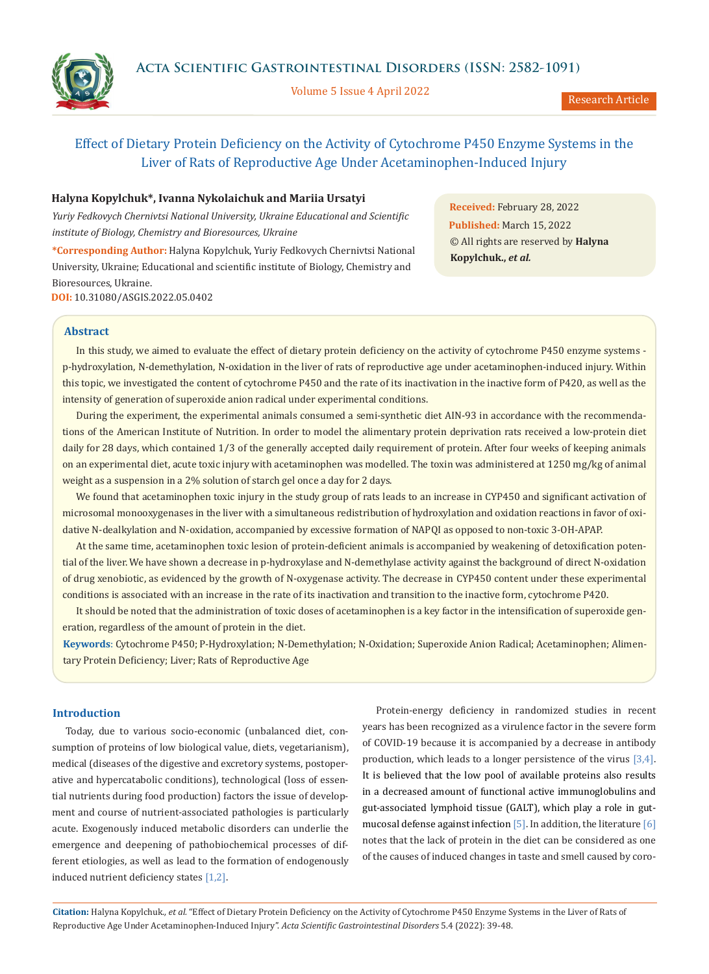

Volume 5 Issue 4 April 2022

Research Article

# Effect of Dietary Protein Deficiency on the Activity of Cytochrome P450 Enzyme Systems in the Liver of Rats of Reproductive Age Under Acetaminophen-Induced Injury

# **Нalyna Kopylchuk\*, Ivanna Nykolaichuk and Маriia Ursatyi**

*Yuriy Fedkovych Chernivtsi National University, Ukraine Educational and Scientific institute of Biology, Chemistry and Bioresources, Ukraine*

**\*Corresponding Author:** Нalyna Kopylchuk, Yuriy Fedkovych Chernivtsi National University, Ukraine; Educational and scientific institute of Biology, Chemistry and Bioresources, Ukraine. **DOI:** [10.31080/ASGIS.2022.05.0402](https://actascientific.com/ASGIS/pdf/ASGIS-05-0402.pdf)

**Received:** February 28, 2022 **Published:** March 15, 2022 © All rights are reserved by **Нalyna Kopylchuk.,** *et al.* 

# **Abstract**

In this study, we aimed to evaluate the effect of dietary protein deficiency on the activity of cytochrome P450 enzyme systems p-hydroxylation, N-demethylation, N-oxidation in the liver of rats of reproductive age under acetaminophen-induced injury. Within this topic, we investigated the content of cytochrome P450 and the rate of its inactivation in the inactive form of P420, as well as the intensity of generation of superoxide anion radical under experimental conditions.

During the experiment, the experimental animals consumed a semi-synthetic diet AIN-93 in accordance with the recommendations of the American Institute of Nutrition. In order to model the alimentary protein deprivation rats received a low-protein diet daily for 28 days, which contained 1/3 of the generally accepted daily requirement of protein. After four weeks of keeping animals on an experimental diet, acute toxic injury with acetaminophen was modelled. The toxin was administered at 1250 mg/kg of animal weight as a suspension in a 2% solution of starch gel once a day for 2 days.

We found that acetaminophen toxic injury in the study group of rats leads to an increase in CYP450 and significant activation of microsomal monooxygenases in the liver with a simultaneous redistribution of hydroxylation and oxidation reactions in favor of oxidative N-dealkylation and N-oxidation, accompanied by excessive formation of NAPQI as opposed to non-toxic 3-OH-APAP.

At the same time, acetaminophen toxic lesion of protein-deficient animals is accompanied by weakening of detoxification potential of the liver. We have shown a decrease in p-hydroxylase and N-demethylase activity against the background of direct N-oxidation of drug xenobiotic, as evidenced by the growth of N-oxygenase activity. The decrease in CYP450 content under these experimental conditions is associated with an increase in the rate of its inactivation and transition to the inactive form, cytochrome P420.

It should be noted that the administration of toxic doses of acetaminophen is a key factor in the intensification of superoxide generation, regardless of the amount of protein in the diet.

**Keywords**: Cytochrome P450; P-Hydroxylation; N-Demethylation; N-Oxidation; Superoxide Anion Radical; Acetaminophen; Alimentary Protein Deficiency; Liver; Rats of Reproductive Age

## **Introduction**

Today, due to various socio-economic (unbalanced diet, consumption of proteins of low biological value, diets, vegetarianism), medical (diseases of the digestive and excretory systems, postoperative and hypercatabolic conditions), technological (loss of essential nutrients during food production) factors the issue of development and course of nutrient-associated pathologies is particularly acute. Exogenously induced metabolic disorders can underlie the emergence and deepening of pathobiochemical processes of different etiologies, as well as lead to the formation of endogenously induced nutrient deficiency states [1,2].

Protein-energy deficiency in randomized studies in recent years has been recognized as a virulence factor in the severe form of COVID-19 because it is accompanied by a decrease in antibody production, which leads to a longer persistence of the virus [3,4]. It is believed that the low pool of available proteins also results in a decreased amount of functional active immunoglobulins and gut-associated lymphoid tissue (GALT), which play a role in gutmucosal defense against infection  $[5]$ . In addition, the literature  $[6]$ notes that the lack of protein in the diet can be considered as one of the causes of induced changes in taste and smell caused by coro-

**Citation:** Нalyna Kopylchuk*., et al.* "Effect of Dietary Protein Deficiency on the Activity of Cytochrome P450 Enzyme Systems in the Liver of Rats of Reproductive Age Under Acetaminophen-Induced Injury". *Acta Scientific Gastrointestinal Disorders* 5.4 (2022): 39-48.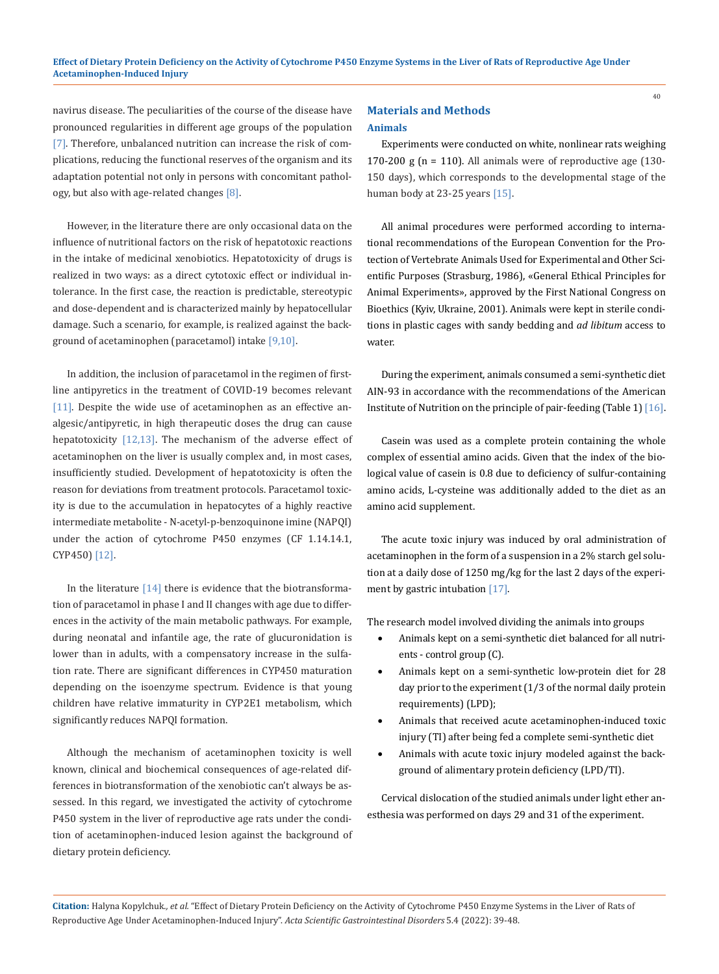navirus disease. The peculiarities of the course of the disease have pronounced regularities in different age groups of the population [7]. Therefore, unbalanced nutrition can increase the risk of complications, reducing the functional reserves of the organism and its adaptation potential not only in persons with concomitant pathology, but also with age-related changes [8].

However, in the literature there are only occasional data on the influence of nutritional factors on the risk of hepatotoxic reactions in the intake of medicinal xenobiotics. Hepatotoxicity of drugs is realized in two ways: as a direct cytotoxic effect or individual intolerance. In the first case, the reaction is predictable, stereotypic and dose-dependent and is characterized mainly by hepatocellular damage. Such a scenario, for example, is realized against the background of acetaminophen (paracetamol) intake [9,10].

In addition, the inclusion of paracetamol in the regimen of firstline antipyretics in the treatment of COVID-19 becomes relevant [11]. Despite the wide use of acetaminophen as an effective analgesic/antipyretic, in high therapeutic doses the drug can cause hepatotoxicity [12,13]. The mechanism of the adverse effect of acetaminophen on the liver is usually complex and, in most cases, insufficiently studied. Development of hepatotoxicity is often the reason for deviations from treatment protocols. Paracetamol toxicity is due to the accumulation in hepatocytes of a highly reactive intermediate metabolite - N-acetyl-p-benzoquinone imine (NAPQI) under the action of cytochrome P450 enzymes (CF 1.14.14.1, CYP450) [12].

In the literature  $[14]$  there is evidence that the biotransformation of paracetamol in phase I and II changes with age due to differences in the activity of the main metabolic pathways. For example, during neonatal and infantile age, the rate of glucuronidation is lower than in adults, with a compensatory increase in the sulfation rate. There are significant differences in CYP450 maturation depending on the isoenzyme spectrum. Evidence is that young children have relative immaturity in CYP2E1 metabolism, which significantly reduces NAPQI formation.

Although the mechanism of acetaminophen toxicity is well known, clinical and biochemical consequences of age-related differences in biotransformation of the xenobiotic can't always be assessed. In this regard, we investigated the activity of cytochrome P450 system in the liver of reproductive age rats under the condition of acetaminophen-induced lesion against the background of dietary protein deficiency.

# **Materials and Methods Animals**

Experiments were conducted on white, nonlinear rats weighing 170-200 g ( $n = 110$ ). All animals were of reproductive age (130-150 days), which corresponds to the developmental stage of the human body at 23-25 years [15].

All animal procedures were performed according to international recommendations of the European Convention for the Protection of Vertebrate Animals Used for Experimental and Other Scientific Purposes (Strasburg, 1986), «General Ethical Principles for Animal Experiments», approved by the First National Congress on Bioethics (Kyiv, Ukraine, 2001). Animals were kept in sterile conditions in plastic cages with sandy bedding and *ad libitum* access to water.

During the experiment, animals consumed a semi-synthetic diet AIN-93 in accordance with the recommendations of the American Institute of Nutrition on the principle of pair-feeding (Table 1) [16].

Casein was used as a complete protein containing the whole complex of essential amino acids. Given that the index of the biological value of casein is 0.8 due to deficiency of sulfur-containing amino acids, L-cysteine was additionally added to the diet as an amino acid supplement.

The acute toxic injury was induced by oral administration of acetaminophen in the form of a suspension in a 2% starch gel solution at a daily dose of 1250 mg/kg for the last 2 days of the experiment by gastric intubation [17].

The research model involved dividing the animals into groups

- Animals kept on a semi-synthetic diet balanced for all nutrients - control group (C).
- • Animals kept on a semi-synthetic low-protein diet for 28 day prior to the experiment (1/3 of the normal daily protein requirements) (LPD);
- • Animals that received acute acetaminophen-induced toxic injury (TI) after being fed a complete semi-synthetic diet
- • Animals with acute toxic injury modeled against the background of alimentary protein deficiency (LPD/TI).

Cervical dislocation of the studied animals under light ether anesthesia was performed on days 29 and 31 of the experiment.

**Citation:** Нalyna Kopylchuk*., et al.* "Effect of Dietary Protein Deficiency on the Activity of Cytochrome P450 Enzyme Systems in the Liver of Rats of Reproductive Age Under Acetaminophen-Induced Injury". *Acta Scientific Gastrointestinal Disorders* 5.4 (2022): 39-48.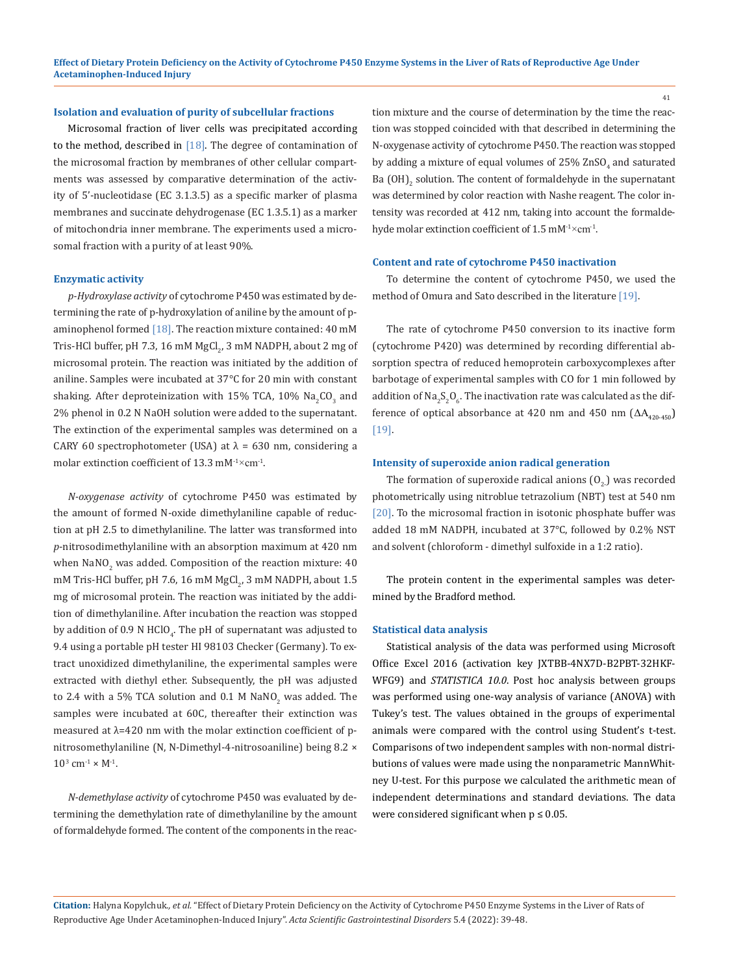### **Isolation and evaluation of purity of subcellular fractions**

Microsomal fraction of liver cells was precipitated according to the method, described in  $[18]$ . The degree of contamination of the microsomal fraction by membranes of other cellular compartments was assessed by comparative determination of the activity of 5'-nucleotidase (EC 3.1.3.5) as a specific marker of plasma membranes and succinate dehydrogenase (EC 1.3.5.1) as a marker of mitochondria inner membrane. The experiments used a microsomal fraction with a purity of at least 90%.

### **Enzymatic activity**

*p-Hydroxylase activity* of cytochrome P450 was estimated by determining the rate of p-hydroxylation of aniline by the amount of paminophenol formed [18]. The reaction mixture contained: 40 mM Tris-HCl buffer, pH 7.3, 16 mM MgCl $_2$ , 3 mM NADPH, about 2 mg of microsomal protein. The reaction was initiated by the addition of aniline. Samples were incubated at 37°С for 20 min with constant shaking. After deproteinization with  $15\%$  TCA,  $10\%$  Na<sub>2</sub>CO<sub>3</sub> and 2% phenol in 0.2 N NaOH solution were added to the supernatant. The extinction of the experimental samples was determined on a CARY 60 spectrophotometer (USA) at  $\lambda$  = 630 nm, considering a molar extinction coefficient of 13.3 mM<sup>-1</sup> $\times$ cm<sup>-1</sup>.

*N-oxygenase activity* of cytochrome P450 was estimated by the amount of formed N-oxide dimethylaniline capable of reduction at pH 2.5 to dimethylaniline. The latter was transformed into *p*-nitrosodimethylaniline with an absorption maximum at 420 nm when NaNO $_2$  was added. Composition of the reaction mixture: 40  $\,$ mM Tris-HCl buffer, pH 7.6, 16 mM MgCl $_2$ , 3 mM NADPH, about 1.5 mg of microsomal protein. The reaction was initiated by the addition of dimethylaniline. After incubation the reaction was stopped by addition of 0.9 N HClO<sub>4</sub>. The pH of supernatant was adjusted to 9.4 using a portable pH tester HI 98103 Checker (Germany). To extract unoxidized dimethylaniline, the experimental samples were extracted with diethyl ether. Subsequently, the pH was adjusted to 2.4 with a 5% TCA solution and 0.1 M NaNO<sub>2</sub> was added. The samples were incubated at 60C, thereafter their extinction was measured at λ=420 nm with the molar extinction coefficient of pnitrosomethylaniline (N, N-Dimethyl-4-nitrosoaniline) being 8.2 ×  $10^3$  cm<sup>-1</sup> × M<sup>-1</sup>.

*N-demethylase activity* of cytochrome P450 was evaluated by determining the demethylation rate of dimethylaniline by the amount of formaldehyde formed. The content of the components in the reaction mixture and the course of determination by the time the reaction was stopped coincided with that described in determining the N-oxygenase activity of cytochrome P450. The reaction was stopped by adding a mixture of equal volumes of  $25\%$   $2nSO_4$  and saturated Ba (OH)<sub>2</sub> solution. The content of formaldehyde in the supernatant was determined by color reaction with Nashe reagent. The color intensity was recorded at 412 nm, taking into account the formaldehyde molar extinction coefficient of 1.5 mM<sup>-1</sup>×cm<sup>-1</sup>.

#### **Content and rate of cytochrome P450 inactivation**

To determine the content of cytochrome P450, we used the method of Omura and Sato described in the literature [19].

The rate of cytochrome P450 conversion to its inactive form (cytochrome P420) was determined by recording differential absorption spectra of reduced hemoprotein carboxycomplexes after barbotage of experimental samples with CO for 1 min followed by addition of Na $_{2}^{\ }S_{2}^{\ }O_{6}^{\ }$ . The inactivation rate was calculated as the difference of optical absorbance at 420 nm and 450 nm  $( \Delta A_{420-450} )$ [19].

#### **Intensity of superoxide anion radical generation**

The formation of superoxide radical anions  $(0, 0)$  was recorded photometrically using nitroblue tetrazolium (NBT) test at 540 nm [20]. To the microsomal fraction in isotonic phosphate buffer was added 18 mM NADPH, incubated at 37°С, followed by 0.2% NST and solvent (chloroform - dimethyl sulfoxide in a 1:2 ratio).

The protein content in the experimental samples was determined by the Bradford method.

### **Statistical data analysis**

Statistical analysis of the data was performed using Microsoft Office Excel 2016 (activation key JXTBB-4NX7D-B2PBT-32HKF-WFG9) and *STATISTICA 10.0*. Post hoc analysis between groups was performed using one-way analysis of variance (ANOVA) with Tukey's test. The values obtained in the groups of experimental animals were compared with the control using Student's t-test. Comparisons of two independent samples with non-normal distributions of values were made using the nonparametric MannWhitney U-test. For this purpose we calculated the arithmetic mean of independent determinations and standard deviations. The data were considered significant when  $p \leq 0.05$ .

**Citation:** Нalyna Kopylchuk*., et al.* "Effect of Dietary Protein Deficiency on the Activity of Cytochrome P450 Enzyme Systems in the Liver of Rats of Reproductive Age Under Acetaminophen-Induced Injury". *Acta Scientific Gastrointestinal Disorders* 5.4 (2022): 39-48.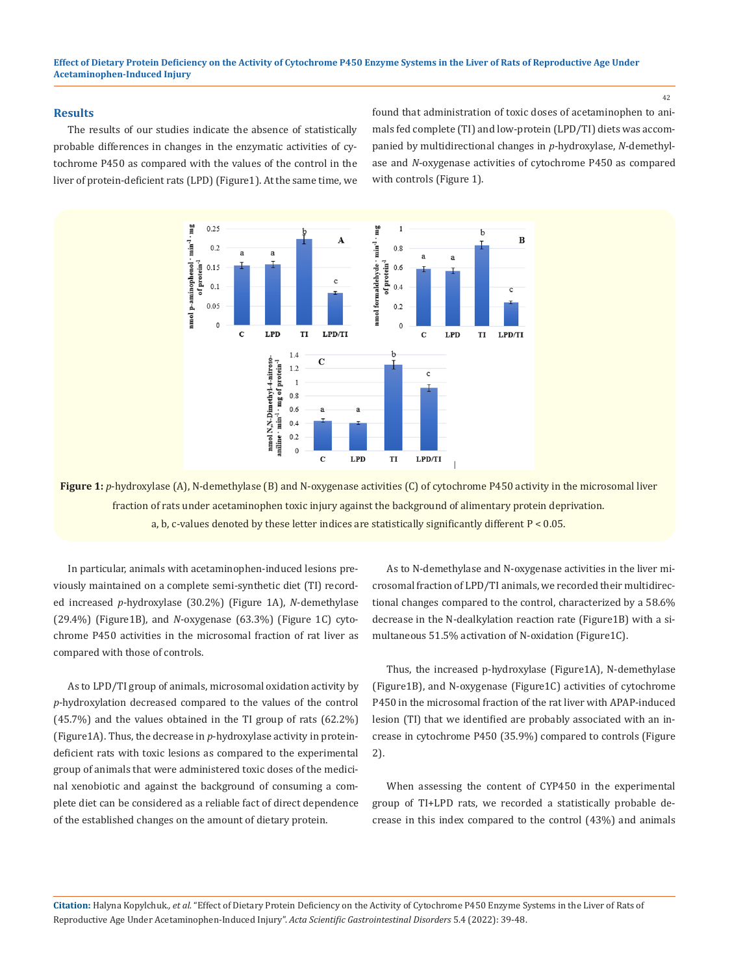#### **Results**

The results of our studies indicate the absence of statistically probable differences in changes in the enzymatic activities of cytochrome P450 as compared with the values of the control in the liver of protein-deficient rats (LPD) (Figure1). At the same time, we found that administration of toxic doses of acetaminophen to animals fed complete (TI) and low-protein (LPD/TI) diets was accompanied by multidirectional changes in *p*-hydroxylase, *N*-demethylase and *N*-oxygenase activities of cytochrome P450 as compared with controls (Figure 1).



**Figure 1:**  $p$ -hydroxylase (A), N-demethylase (B) and N-oxygenase activities (C) of cytochrome P450 activity in the microsomal liver fraction of rats under acetaminophen toxic injury against the background of alimentary protein deprivation. a, b, c-values denoted by these letter indices are statistically significantly different P < 0.05.

In particular, animals with acetaminophen-induced lesions previously maintained on a complete semi-synthetic diet (TI) recorded increased *p*-hydroxylase (30.2%) (Figure 1A), *N*-demethylase (29.4%) (Figure1B), and *N*-oxygenase (63.3%) (Figure 1C) cytochrome P450 activities in the microsomal fraction of rat liver as compared with those of controls.

As to LPD/TI group of animals, microsomal oxidation activity by *p*-hydroxylation decreased compared to the values of the control (45.7%) and the values obtained in the TI group of rats (62.2%) (Figure1A). Thus, the decrease in *p*-hydroxylase activity in proteindeficient rats with toxic lesions as compared to the experimental group of animals that were administered toxic doses of the medicinal xenobiotic and against the background of consuming a complete diet can be considered as a reliable fact of direct dependence of the established changes on the amount of dietary protein.

As to N-demethylase and N-oxygenase activities in the liver microsomal fraction of LPD/TI animals, we recorded their multidirectional changes compared to the control, characterized by a 58.6% decrease in the N-dealkylation reaction rate (Figure1B) with a simultaneous 51.5% activation of N-oxidation (Figure1C).

Thus, the increased p-hydroxylase (Figure1A), N-demethylase (Figure1B), and N-oxygenase (Figure1C) activities of cytochrome P450 in the microsomal fraction of the rat liver with AРAР-induced lesion (TI) that we identified are probably associated with an increase in cytochrome P450 (35.9%) compared to controls (Figure 2).

When assessing the content of CYP450 in the experimental group of TI+LPD rats, we recorded a statistically probable decrease in this index compared to the control (43%) and animals

**Citation:** Нalyna Kopylchuk*., et al.* "Effect of Dietary Protein Deficiency on the Activity of Cytochrome P450 Enzyme Systems in the Liver of Rats of Reproductive Age Under Acetaminophen-Induced Injury". *Acta Scientific Gastrointestinal Disorders* 5.4 (2022): 39-48.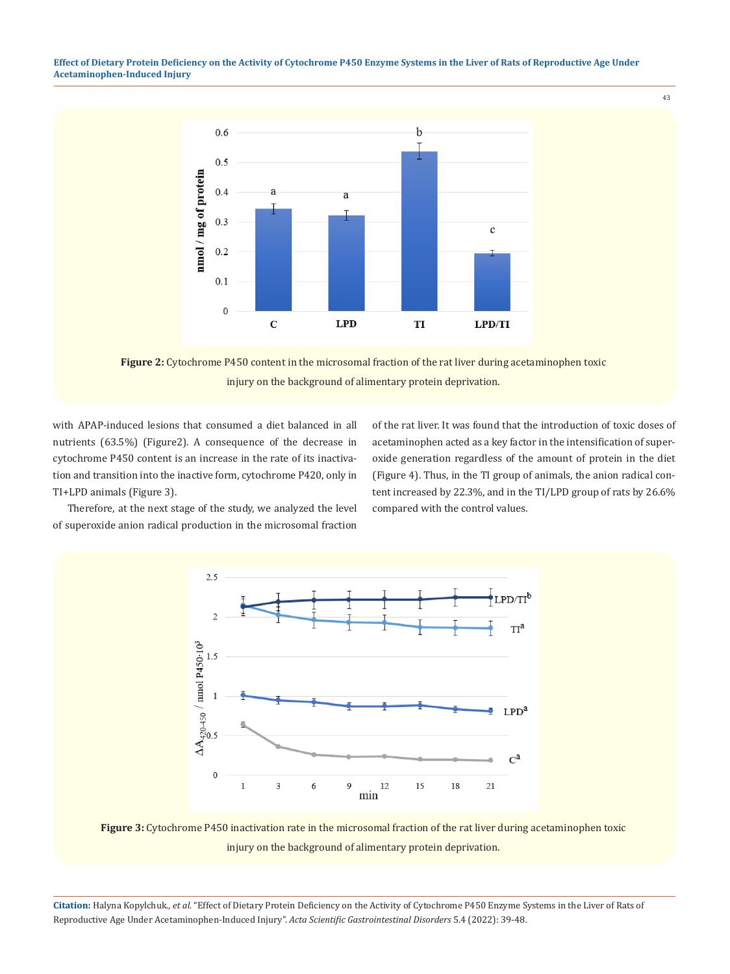**Effect of Dietary Protein Deficiency on the Activity of Cytochrome P450 Enzyme Systems in the Liver of Rats of Reproductive Age Under Acetaminophen-Induced Injury**



**Figure 2:** Cytochrome P450 content in the microsomal fraction of the rat liver during acetaminophen toxic injury on the background of alimentary protein deprivation.

with AРAР-induced lesions that consumed a diet balanced in all nutrients (63.5%) (Figure2). A consequence of the decrease in cytochrome P450 content is an increase in the rate of its inactivation and transition into the inactive form, cytochrome P420, only in TI+LPD animals (Figure 3).

of the rat liver. It was found that the introduction of toxic doses of acetaminophen acted as a key factor in the intensification of superoxide generation regardless of the amount of protein in the diet (Figure 4). Thus, in the TI group of animals, the anion radical content increased by 22.3%, and in the TI/LPD group of rats by 26.6% compared with the control values.

43

Therefore, at the next stage of the study, we analyzed the level of superoxide anion radical production in the microsomal fraction



**Figure 3:** Cytochrome P450 inactivation rate in the microsomal fraction of the rat liver during acetaminophen toxic injury on the background of alimentary protein deprivation.

**Citation:** Нalyna Kopylchuk*., et al.* "Effect of Dietary Protein Deficiency on the Activity of Cytochrome P450 Enzyme Systems in the Liver of Rats of Reproductive Age Under Acetaminophen-Induced Injury". *Acta Scientific Gastrointestinal Disorders* 5.4 (2022): 39-48.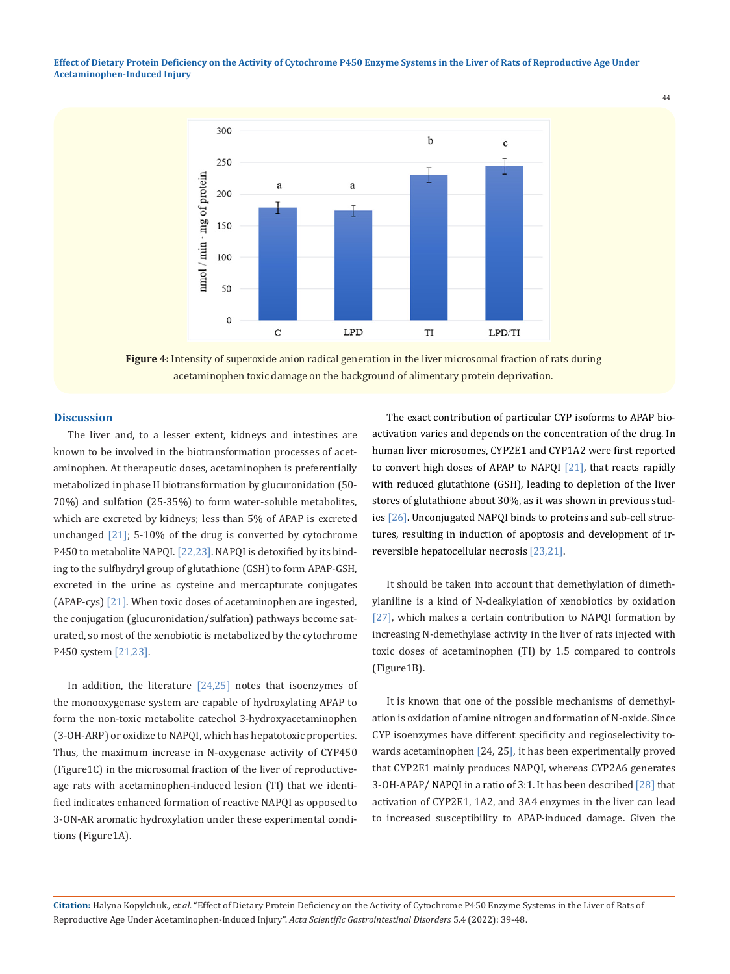**Effect of Dietary Protein Deficiency on the Activity of Cytochrome P450 Enzyme Systems in the Liver of Rats of Reproductive Age Under Acetaminophen-Induced Injury**



**Figure 4:** Intensity of superoxide anion radical generation in the liver microsomal fraction of rats during acetaminophen toxic damage on the background of alimentary protein deprivation.

### **Discussion**

The liver and, to a lesser extent, kidneys and intestines are known to be involved in the biotransformation processes of acetaminophen. At therapeutic doses, acetaminophen is preferentially metabolized in phase II biotransformation by glucuronidation (50- 70%) and sulfation (25-35%) to form water-soluble metabolites, which are excreted by kidneys; less than 5% of APAP is excreted unchanged [21]; 5-10% of the drug is converted by cytochrome P450 to metabolite NAPQI. [22,23]. NAPQI is detoxified by its binding to the sulfhydryl group of glutathione (GSH) to form APAP-GSH, excreted in the urine as cysteine and mercapturate conjugates (APAP-cys) [21]. When toxic doses of acetaminophen are ingested, the conjugation (glucuronidation/sulfation) pathways become saturated, so most of the xenobiotic is metabolized by the cytochrome P450 system [21,23].

In addition, the literature  $[24,25]$  notes that isoenzymes of the monooxygenase system are capable of hydroxylating APAP to form the non-toxic metabolite catechol 3-hydroxyacetaminophen (3-OH-ARP) or oxidize to NAPQI, which has hepatotoxic properties. Thus, the maximum increase in N-oxygenase activity of CYP450 (Figure1C) in the microsomal fraction of the liver of reproductiveage rats with acetaminophen-induced lesion (TI) that we identified indicates enhanced formation of reactive NAPQI as opposed to 3-ON-AR aromatic hydroxylation under these experimental conditions (Figure1A).

The exact contribution of particular CYP isoforms to APAP bioactivation varies and depends on the concentration of the drug. In human liver microsomes, CYP2E1 and CYP1A2 were first reported to convert high doses of APAP to NAPQI [21], that reacts rapidly with reduced glutathione (GSH), leading to depletion of the liver stores of glutathione about 30%, as it was shown in previous studies [26]. Unconjugated NAPQI binds to proteins and sub-cell structures, resulting in induction of apoptosis and development of irreversible hepatocellular necrosis [23,21].

44

It should be taken into account that demethylation of dimethylaniline is a kind of N-dealkylation of xenobiotics by oxidation [27], which makes a certain contribution to NAPQI formation by increasing N-demethylase activity in the liver of rats injected with toxic doses of acetaminophen (TI) by 1.5 compared to controls (Figure1B).

It is known that one of the possible mechanisms of demethylation is oxidation of amine nitrogen and formation of N-oxide. Since CYP isoenzymes have different specificity and regioselectivity towards acetaminophen [24, 25], it has been experimentally proved that CYP2E1 mainly produces NAPQI, whereas CYP2A6 generates 3-OH-APAP/ NAPQI in a ratio of 3:1. It has been described [28] that activation of CYP2E1, 1A2, and 3A4 enzymes in the liver can lead to increased susceptibility to APAP-induced damage. Given the

**Citation:** Нalyna Kopylchuk*., et al.* "Effect of Dietary Protein Deficiency on the Activity of Cytochrome P450 Enzyme Systems in the Liver of Rats of Reproductive Age Under Acetaminophen-Induced Injury". *Acta Scientific Gastrointestinal Disorders* 5.4 (2022): 39-48.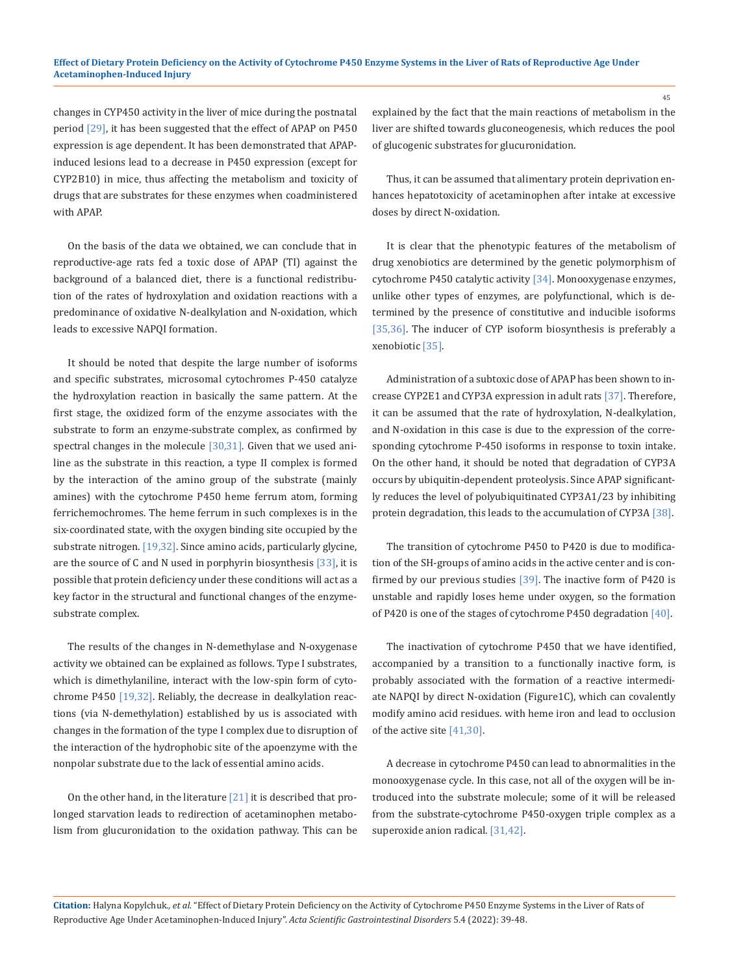changes in CYP450 activity in the liver of mice during the postnatal period [29], it has been suggested that the effect of APAP on P450 expression is age dependent. It has been demonstrated that APAPinduced lesions lead to a decrease in P450 expression (except for CYP2B10) in mice, thus affecting the metabolism and toxicity of drugs that are substrates for these enzymes when coadministered with APAP.

On the basis of the data we obtained, we can conclude that in reproductive-age rats fed a toxic dose of APAР (TI) against the background of a balanced diet, there is a functional redistribution of the rates of hydroxylation and oxidation reactions with a predominance of oxidative N-dealkylation and N-oxidation, which leads to excessive NAPQI formation.

It should be noted that despite the large number of isoforms and specific substrates, microsomal cytochromes P-450 catalyze the hydroxylation reaction in basically the same pattern. At the first stage, the oxidized form of the enzyme associates with the substrate to form an enzyme-substrate complex, as confirmed by spectral changes in the molecule [30,31]. Given that we used aniline as the substrate in this reaction, a type II complex is formed by the interaction of the amino group of the substrate (mainly amines) with the cytochrome P450 heme ferrum atom, forming ferrichemochromes. The heme ferrum in such complexes is in the six-coordinated state, with the oxygen binding site occupied by the substrate nitrogen. [19,32]. Since amino acids, particularly glycine, are the source of C and N used in porphyrin biosynthesis [33], it is possible that protein deficiency under these conditions will act as a key factor in the structural and functional changes of the enzymesubstrate complex.

The results of the changes in N-demethylase and N-oxygenase activity we obtained can be explained as follows. Type I substrates, which is dimethylaniline, interact with the low-spin form of cytochrome P450 [19,32]. Reliably, the decrease in dealkylation reactions (via N-demethylation) established by us is associated with changes in the formation of the type I complex due to disruption of the interaction of the hydrophobic site of the apoenzyme with the nonpolar substrate due to the lack of essential amino acids.

On the other hand, in the literature  $[21]$  it is described that prolonged starvation leads to redirection of acetaminophen metabolism from glucuronidation to the oxidation pathway. This can be explained by the fact that the main reactions of metabolism in the liver are shifted towards gluconeogenesis, which reduces the pool of glucogenic substrates for glucuronidation.

Thus, it can be assumed that alimentary protein deprivation enhances hepatotoxicity of acetaminophen after intake at excessive doses by direct N-oxidation.

It is clear that the phenotypic features of the metabolism of drug xenobiotics are determined by the genetic polymorphism of cytochrome P450 catalytic activity [34]. Monooxygenase enzymes, unlike other types of enzymes, are polyfunctional, which is determined by the presence of constitutive and inducible isoforms [35,36]. The inducer of CYP isoform biosynthesis is preferably a xenobiotic [35].

Administration of a subtoxic dose of APAР has been shown to increase CYP2E1 and CYP3A expression in adult rats [37]. Therefore, it can be assumed that the rate of hydroxylation, N-dealkylation, and N-oxidation in this case is due to the expression of the corresponding cytochrome P-450 isoforms in response to toxin intake. On the other hand, it should be noted that degradation of CYP3A occurs by ubiquitin-dependent proteolysis. Since APAP significantly reduces the level of polyubiquitinated CYP3A1/23 by inhibiting protein degradation, this leads to the accumulation of CYP3A [38].

The transition of cytochrome P450 to P420 is due to modification of the SH-groups of amino acids in the active center and is confirmed by our previous studies [39]. The inactive form of P420 is unstable and rapidly loses heme under oxygen, so the formation of P420 is one of the stages of cytochrome P450 degradation [40].

The inactivation of cytochrome P450 that we have identified, accompanied by a transition to a functionally inactive form, is probably associated with the formation of a reactive intermediate NAPQI by direct N-oxidation (Figure1C), which can covalently modify amino acid residues. with heme iron and lead to occlusion of the active site [41,30].

A decrease in cytochrome P450 can lead to abnormalities in the monooxygenase cycle. In this case, not all of the oxygen will be introduced into the substrate molecule; some of it will be released from the substrate-cytochrome P450-oxygen triple complex as a superoxide anion radical. [31,42].

**Citation:** Нalyna Kopylchuk*., et al.* "Effect of Dietary Protein Deficiency on the Activity of Cytochrome P450 Enzyme Systems in the Liver of Rats of Reproductive Age Under Acetaminophen-Induced Injury". *Acta Scientific Gastrointestinal Disorders* 5.4 (2022): 39-48.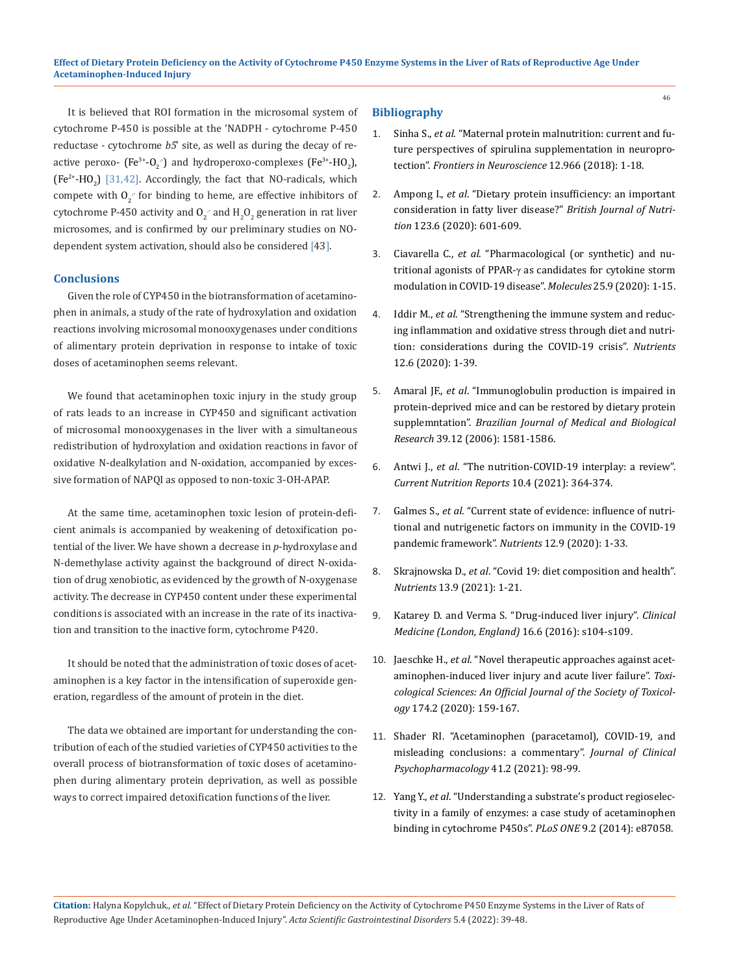It is believed that ROI formation in the microsomal system of cytochrome P-450 is possible at the 'NADPH - cytochrome P-450 reductase - cytochrome *b5*' site, as well as during the decay of reactive peroxo-  $\text{(Fe}^{3+}\text{-O}_2\text{)}$  and hydroperoxo-complexes  $\text{(Fe}^{3+}\text{-}\text{HO}_2\text{)}$ ,  $(Fe<sup>2+</sup>-HO<sub>2</sub>)$  [31,42]. Accordingly, the fact that NO-radicals, which compete with  $0<sub>2</sub>$  for binding to heme, are effective inhibitors of cytochrome P-450 activity and  $0_2$  and  $H_2O_2$  generation in rat liver microsomes, and is confirmed by our preliminary studies on NOdependent system activation, should also be considered [43].

### **Conclusions**

Given the role of CYP450 in the biotransformation of acetaminophen in animals, a study of the rate of hydroxylation and oxidation reactions involving microsomal monooxygenases under conditions of alimentary protein deprivation in response to intake of toxic doses of acetaminophen seems relevant.

We found that acetaminophen toxic injury in the study group of rats leads to an increase in CYP450 and significant activation of microsomal monooxygenases in the liver with a simultaneous redistribution of hydroxylation and oxidation reactions in favor of oxidative N-dealkylation and N-oxidation, accompanied by excessive formation of NAPQI as opposed to non-toxic 3-OH-APAP.

At the same time, acetaminophen toxic lesion of protein-deficient animals is accompanied by weakening of detoxification potential of the liver. We have shown a decrease in *p*-hydroxylase and N-demethylase activity against the background of direct N-oxidation of drug xenobiotic, as evidenced by the growth of N-oxygenase activity. The decrease in CYP450 content under these experimental conditions is associated with an increase in the rate of its inactivation and transition to the inactive form, cytochrome P420.

It should be noted that the administration of toxic doses of acetaminophen is a key factor in the intensification of superoxide generation, regardless of the amount of protein in the diet.

The data we obtained are important for understanding the contribution of each of the studied varieties of CYP450 activities to the overall process of biotransformation of toxic doses of acetaminophen during alimentary protein deprivation, as well as possible ways to correct impaired detoxification functions of the liver.

# **Bibliography**

- 1. Sinha S., *et al*[. "Maternal protein malnutrition: current and fu](https://pubmed.ncbi.nlm.nih.gov/30618587/)[ture perspectives of spirulina supplementation in neuropro](https://pubmed.ncbi.nlm.nih.gov/30618587/)tection". *[Frontiers in Neuroscience](https://pubmed.ncbi.nlm.nih.gov/30618587/)* 12.966 (2018): 1-18.
- 2. Ampong I., *et al*[. "Dietary protein insufficiency: an important](https://pubmed.ncbi.nlm.nih.gov/31779730/)  [consideration in fatty liver disease?"](https://pubmed.ncbi.nlm.nih.gov/31779730/) *British Journal of Nutrition* [123.6 \(2020\): 601-609.](https://pubmed.ncbi.nlm.nih.gov/31779730/)
- 3. Ciavarella C., *et al*[. "Pharmacological \(or synthetic\) and nu](https://pubmed.ncbi.nlm.nih.gov/32365556/)tritional agonists of PPAR-γ [as candidates for cytokine storm](https://pubmed.ncbi.nlm.nih.gov/32365556/)  [modulation in COVID-19 disease".](https://pubmed.ncbi.nlm.nih.gov/32365556/) *Molecules* 25.9 (2020): 1-15.
- 4. Iddir M., *et al*[. "Strengthening the immune system and reduc](https://pubmed.ncbi.nlm.nih.gov/32471251/)[ing inflammation and oxidative stress through diet and nutri](https://pubmed.ncbi.nlm.nih.gov/32471251/)[tion: considerations during the COVID-19](https://pubmed.ncbi.nlm.nih.gov/32471251/) сrisis". *Nutrients*  [12.6 \(2020\): 1-39.](https://pubmed.ncbi.nlm.nih.gov/32471251/)
- 5. Amaral JF., *et al*[. "Immunoglobulin production is impaired in](https://pubmed.ncbi.nlm.nih.gov/17160267/) [protein-deprived mice and can be restored by dietary protein](https://pubmed.ncbi.nlm.nih.gov/17160267/) supplemntation". *[Brazilian Journal of Medical and Biological](https://pubmed.ncbi.nlm.nih.gov/17160267/) Research* [39.12 \(2006\): 1581-1586.](https://pubmed.ncbi.nlm.nih.gov/17160267/)
- 6. Antwi J., *et al*[. "The nutrition-COVID-19 interplay: a review".](https://pubmed.ncbi.nlm.nih.gov/34837637/)  *[Current Nutrition Reports](https://pubmed.ncbi.nlm.nih.gov/34837637/)* 10.4 (2021): 364-374.
- 7. Galmеs S., *et al*[. "Current state of evidence: influence of nutri](https://www.mdpi.com/2072-6643/12/9/2738)[tional and nutrigenetic factors on immunity in the COVID-19](https://www.mdpi.com/2072-6643/12/9/2738) [pandemic framework".](https://www.mdpi.com/2072-6643/12/9/2738) *Nutrients* 12.9 (2020): 1-33.
- 8. Skrajnowska D., *et al*[. "Covid 19: diet composition and health".](https://pubmed.ncbi.nlm.nih.gov/34578858/) *Nutrients* [13.9 \(2021\): 1-21.](https://pubmed.ncbi.nlm.nih.gov/34578858/)
- 9. [Katarey D. and Verma S. "Drug-induced liver injury".](https://www.ncbi.nlm.nih.gov/pmc/articles/PMC3160634/) *Clinical [Medicine \(London, England\)](https://www.ncbi.nlm.nih.gov/pmc/articles/PMC3160634/)* 16.6 (2016): s104-s109.
- 10. Jaeschke H., *et al*[. "Novel therapeutic approaches against acet](https://pubmed.ncbi.nlm.nih.gov/31926003/)[aminophen-induced liver injury and acute liver failure".](https://pubmed.ncbi.nlm.nih.gov/31926003/) *Toxi[cological Sciences: An Official Journal of the Society of Toxicol](https://pubmed.ncbi.nlm.nih.gov/31926003/)ogy* [174.2 \(2020\): 159-167.](https://pubmed.ncbi.nlm.nih.gov/31926003/)
- 11. [Shader RI. "Acetaminophen \(paracetamol\), COVID-19, and](https://pubmed.ncbi.nlm.nih.gov/33443969/)  [misleading conclusions: a commentary".](https://pubmed.ncbi.nlm.nih.gov/33443969/) *Journal of Clinical [Psychopharmacology](https://pubmed.ncbi.nlm.nih.gov/33443969/)* 41.2 (2021): 98-99.
- 12. Yang Y., *et al*[. "Understanding a substrate's product regioselec](https://pubmed.ncbi.nlm.nih.gov/24498291/)[tivity in a family of enzymes: a case study of acetaminophen](https://pubmed.ncbi.nlm.nih.gov/24498291/)  [binding in cytochrome P450s".](https://pubmed.ncbi.nlm.nih.gov/24498291/) *PLoS ONE* 9.2 (2014): e87058.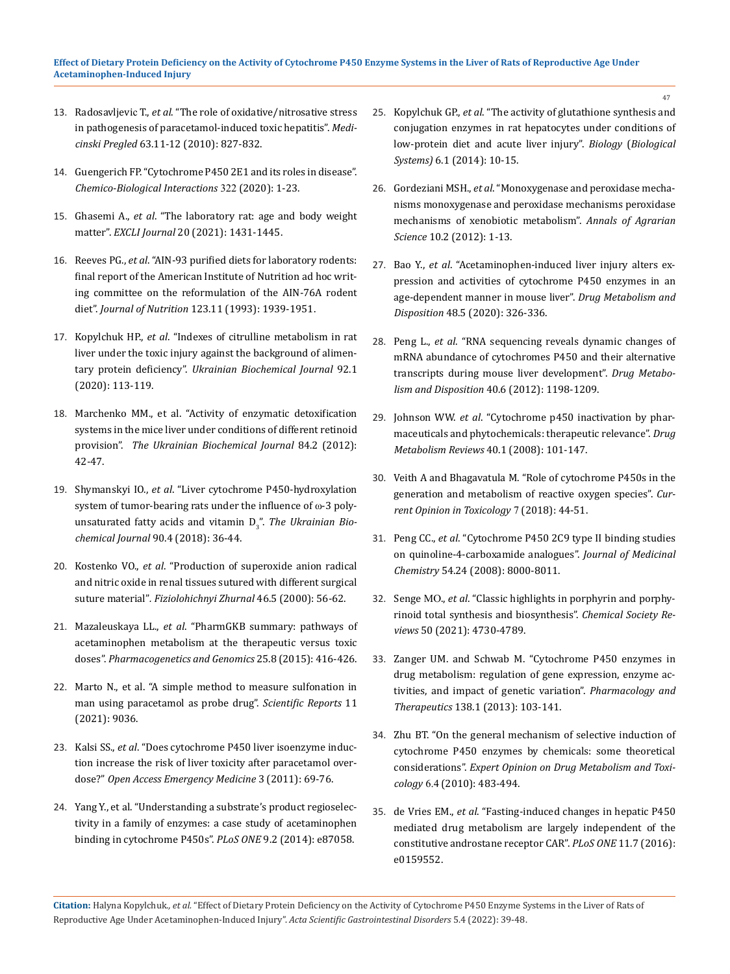### **Effect of Dietary Protein Deficiency on the Activity of Cytochrome P450 Enzyme Systems in the Liver of Rats of Reproductive Age Under Acetaminophen-Induced Injury**

- 13. Radosavljeviс T., *et al*[. "The role of oxidative/nitrosative stress](https://pubmed.ncbi.nlm.nih.gov/21553462/) [in pathogenesis of paracetamol-induced toxic hepatitis".](https://pubmed.ncbi.nlm.nih.gov/21553462/) *Medicinski Pregled* [63.11-12 \(2010\): 827-832.](https://pubmed.ncbi.nlm.nih.gov/21553462/)
- 14. [Guengerich FP. "Cytochrome P450 2E1 and its roles in disease".](https://pubmed.ncbi.nlm.nih.gov/32198084/)  *[Chemico-Biological Interactions](https://pubmed.ncbi.nlm.nih.gov/32198084/)* 322 (2020): 1-23.
- 15. Ghasemi A., *et al*[. "The laboratory rat: age and body weight](https://pubmed.ncbi.nlm.nih.gov/34737685/) matter". *EXCLI Journal* [20 \(2021\): 1431-1445.](https://pubmed.ncbi.nlm.nih.gov/34737685/)
- 16. Reeves PG., *et al*[. "AIN-93 purified diets for laboratory rodents:](https://pubmed.ncbi.nlm.nih.gov/8229312/) [final report of the American Institute of Nutrition ad hoc writ](https://pubmed.ncbi.nlm.nih.gov/8229312/)[ing committee on the reformulation of the AIN-76A rodent](https://pubmed.ncbi.nlm.nih.gov/8229312/) diet". *Journal of Nutrition* [123.11 \(1993\): 1939-1951.](https://pubmed.ncbi.nlm.nih.gov/8229312/)
- 17. Kopylchuk HP., *et al*[. "Indexes of citrulline metabolism in rat](http://ukrbiochemjournal.org/2020/02/indexes-of-citrulline-metabolism-in-rat-liver-under-the-toxic-injury-against-the-background-of-alimentary-protein-deficiency.html) [liver under the toxic injury against the background of alimen](http://ukrbiochemjournal.org/2020/02/indexes-of-citrulline-metabolism-in-rat-liver-under-the-toxic-injury-against-the-background-of-alimentary-protein-deficiency.html)tary protein deficiency". *[Ukrainian Biochemical Journal](http://ukrbiochemjournal.org/2020/02/indexes-of-citrulline-metabolism-in-rat-liver-under-the-toxic-injury-against-the-background-of-alimentary-protein-deficiency.html)* 92.1 [\(2020\): 113-119.](http://ukrbiochemjournal.org/2020/02/indexes-of-citrulline-metabolism-in-rat-liver-under-the-toxic-injury-against-the-background-of-alimentary-protein-deficiency.html)
- 18. [Marchenko МM., et al. "Activity of enzymatic detoxification](https://pubmed.ncbi.nlm.nih.gov/22642120/) [systems in the mice liver under conditions of different retinoid](https://pubmed.ncbi.nlm.nih.gov/22642120/) provision". *[The Ukrainian Biochemical Journal](https://pubmed.ncbi.nlm.nih.gov/22642120/)* 84.2 (2012): [42-47.](https://pubmed.ncbi.nlm.nih.gov/22642120/)
- 19. Shymanskyi IO., *et al*[. "Liver cytochrome P450-hydroxylation](http://ukrbiochemjournal.org/2018/06/liver-cytochrome-p450-hydroxylation-system-of-tumor-bearing-rats-under-the-influence-of-%CF%89-3-polyunsaturated-fatty-acids-and-vitamin-d3.html) [system of tumor-bearing rats under the influence of](http://ukrbiochemjournal.org/2018/06/liver-cytochrome-p450-hydroxylation-system-of-tumor-bearing-rats-under-the-influence-of-%CF%89-3-polyunsaturated-fatty-acids-and-vitamin-d3.html) ω-3 polyunsaturated fatty acids and vitamin D<sub>3</sub>". *The Ukrainian Bio[chemical Journal](http://ukrbiochemjournal.org/2018/06/liver-cytochrome-p450-hydroxylation-system-of-tumor-bearing-rats-under-the-influence-of-%CF%89-3-polyunsaturated-fatty-acids-and-vitamin-d3.html)* 90.4 (2018): 36-44.
- 20. Kostenko VO., *et al*[. "Production of superoxide anion radical](https://pubmed.ncbi.nlm.nih.gov/11269855/) [and nitric oxide in renal tissues sutured with different surgical](https://pubmed.ncbi.nlm.nih.gov/11269855/) suture material"*[. Fiziolohichnyi Zhurnal](https://pubmed.ncbi.nlm.nih.gov/11269855/)* 46.5 (2000): 56-62.
- 21. Mazaleuskaya LL., *et al*[. "PharmGKB summary: pathways of](https://www.ncbi.nlm.nih.gov/pmc/articles/PMC4498995/) [acetaminophen metabolism at the therapeutic versus toxic](https://www.ncbi.nlm.nih.gov/pmc/articles/PMC4498995/) doses". *[Pharmacogenetics and Genomics](https://www.ncbi.nlm.nih.gov/pmc/articles/PMC4498995/)* 25.8 (2015): 416-426.
- 22. [Marto N., et al. "A simple method to measure sulfonation in](https://www.nature.com/articles/s41598-021-88393-3) [man using paracetamol as probe drug".](https://www.nature.com/articles/s41598-021-88393-3) *Scientific Reports* 11 [\(2021\): 9036.](https://www.nature.com/articles/s41598-021-88393-3)
- 23. Kalsi SS., *et al*[. "Does cytochrome P450 liver isoenzyme induc](https://pubmed.ncbi.nlm.nih.gov/27147854/)[tion increase the risk of liver toxicity after paracetamol over](https://pubmed.ncbi.nlm.nih.gov/27147854/)dose?" *[Open Access Emergency Medicine](https://pubmed.ncbi.nlm.nih.gov/27147854/)* 3 (2011): 69-76.
- 24. [Yang Y., et al. "Understanding a substrate's product regioselec](https://pubmed.ncbi.nlm.nih.gov/27498632/)[tivity in a family of enzymes: a case study of acetaminophen](https://pubmed.ncbi.nlm.nih.gov/27498632/) [binding in cytochrome P450s".](https://pubmed.ncbi.nlm.nih.gov/27498632/) *PLoS ONE* 9.2 (2014): e87058.
- 25. Kopylchuk GP., *et al*. "The activity of glutathione synthesis and conjugation enzymes in rat hepatocytes under conditions of low-protein diet and acute liver injury". *Biology* (*Biological Systems)* 6.1 (2014): 10-15.
- 26. Gordeziani MSH., *et al*[. "Monoxygenase and peroxidase mecha](https://pubmed.ncbi.nlm.nih.gov/26002730/)[nisms monoxygenase and peroxidase mechanisms peroxidase](https://pubmed.ncbi.nlm.nih.gov/26002730/) [mechanisms of xenobiotic metabolism".](https://pubmed.ncbi.nlm.nih.gov/26002730/) *Annals of Agrarian Science* [10.2 \(2012\): 1-13.](https://pubmed.ncbi.nlm.nih.gov/26002730/)
- 27. Bao Y., *et al*[. "Acetaminophen-induced liver injury alters ex](https://pubmed.ncbi.nlm.nih.gov/32094214/)[pression and activities of cytochrome P450 enzymes in an](https://pubmed.ncbi.nlm.nih.gov/32094214/)  [age-dependent manner in mouse liver".](https://pubmed.ncbi.nlm.nih.gov/32094214/) *Drug Metabolism and Disposition* [48.5 \(2020\): 326-336.](https://pubmed.ncbi.nlm.nih.gov/32094214/)
- 28. Peng L., *et al*[. "RNA sequencing reveals dynamic changes of](https://pubmed.ncbi.nlm.nih.gov/22434873/) [mRNA abundance of cytochromes P450 and their alternative](https://pubmed.ncbi.nlm.nih.gov/22434873/) [transcripts during mouse liver development".](https://pubmed.ncbi.nlm.nih.gov/22434873/) *Drug Metabolism and Disposition* [40.6 \(2012\): 1198-1209.](https://pubmed.ncbi.nlm.nih.gov/22434873/)
- 29. Johnson WW. *et al*[. "Cytochrome p450 inactivation by phar](https://pubmed.ncbi.nlm.nih.gov/18259986/)[maceuticals and phytochemicals: therapeutic relevance".](https://pubmed.ncbi.nlm.nih.gov/18259986/) *Drug [Metabolism Reviews](https://pubmed.ncbi.nlm.nih.gov/18259986/)* 40.1 (2008): 101-147.
- 30. [Veith A and Bhagavatula M. "Role of cytochrome P450s in the](https://pubmed.ncbi.nlm.nih.gov/29527583/)  [generation and metabolism of reactive oxygen species".](https://pubmed.ncbi.nlm.nih.gov/29527583/) *Cur[rent Opinion in Toxicology](https://pubmed.ncbi.nlm.nih.gov/29527583/)* 7 (2018): 44-51.
- 31. Peng CC., *et al*[. "Cytochrome P450 2C9 type II binding studies](https://www.ncbi.nlm.nih.gov/pmc/articles/PMC2630467/) [on quinoline-4-carboxamide analogues".](https://www.ncbi.nlm.nih.gov/pmc/articles/PMC2630467/) *Journal of Medicinal Chemistry* [54.24 \(2008\): 8000-8011.](https://www.ncbi.nlm.nih.gov/pmc/articles/PMC2630467/)
- 32. Senge МО., *et al*[. "Classic highlights in porphyrin and porphy](https://pubs.rsc.org/en/content/articlelanding/2021/cs/c7cs00719a)[rinoid total synthesis and biosynthesis".](https://pubs.rsc.org/en/content/articlelanding/2021/cs/c7cs00719a) *Chemical Society Reviews* [50 \(2021\): 4730-4789.](https://pubs.rsc.org/en/content/articlelanding/2021/cs/c7cs00719a)
- 33. [Zanger UM. and Schwab M. "Cytochrome P450 enzymes in](https://pubmed.ncbi.nlm.nih.gov/23333322/) [drug metabolism: regulation of gene expression, enzyme ac](https://pubmed.ncbi.nlm.nih.gov/23333322/)[tivities, and impact of genetic variation".](https://pubmed.ncbi.nlm.nih.gov/23333322/) *Pharmacology and Therapeutics* [138.1 \(2013\): 103-141.](https://pubmed.ncbi.nlm.nih.gov/23333322/)
- 34. [Zhu BT. "On the general mechanism of selective induction of](https://www.ncbi.nlm.nih.gov/pmc/articles/PMC2842473/) [cytochrome P450 enzymes by chemicals: some theoretical](https://www.ncbi.nlm.nih.gov/pmc/articles/PMC2842473/)  considerations". *[Expert Opinion on Drug Metabolism and Toxi](https://www.ncbi.nlm.nih.gov/pmc/articles/PMC2842473/)cology* 6.4 [\(2010\): 483-494.](https://www.ncbi.nlm.nih.gov/pmc/articles/PMC2842473/)
- 35. de Vries EM., *et al*[. "Fasting-induced changes in hepatic P450](https://pubmed.ncbi.nlm.nih.gov/27434302/) [mediated drug metabolism are largely independent of the](https://pubmed.ncbi.nlm.nih.gov/27434302/) [constitutive androstane receptor CAR".](https://pubmed.ncbi.nlm.nih.gov/27434302/) *PLoS ONE* 11.7 (2016): [e0159552.](https://pubmed.ncbi.nlm.nih.gov/27434302/)

**Citation:** Нalyna Kopylchuk*., et al.* "Effect of Dietary Protein Deficiency on the Activity of Cytochrome P450 Enzyme Systems in the Liver of Rats of Reproductive Age Under Acetaminophen-Induced Injury". *Acta Scientific Gastrointestinal Disorders* 5.4 (2022): 39-48.